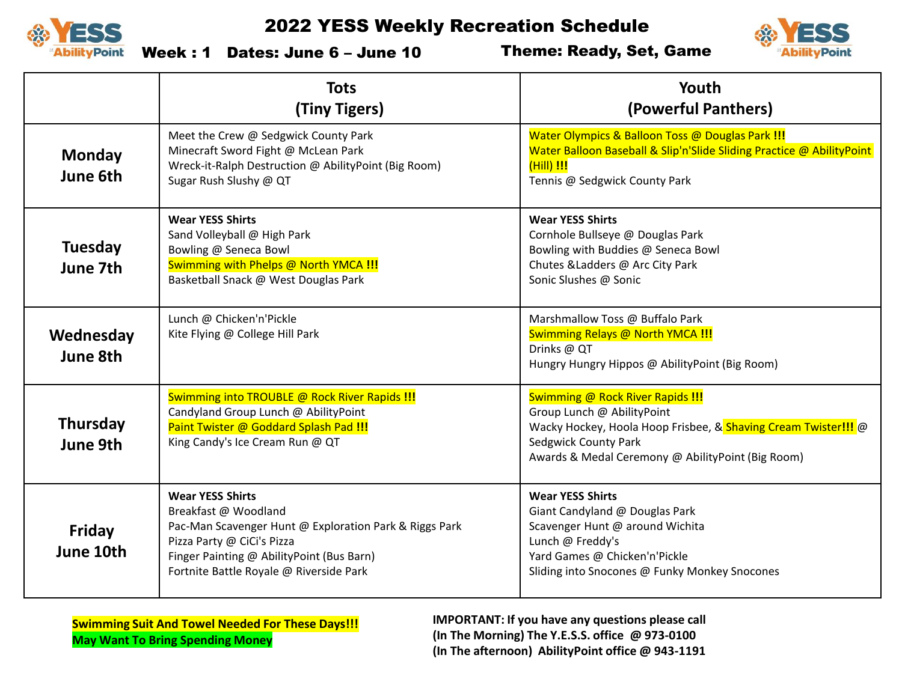



Week : 1 Dates: June 6 – June 10

Theme: Ready, Set, Game

|                            | <b>Tots</b><br>(Tiny Tigers)                                                                                                                                                                                                    | Youth<br>(Powerful Panthers)                                                                                                                                                                                         |
|----------------------------|---------------------------------------------------------------------------------------------------------------------------------------------------------------------------------------------------------------------------------|----------------------------------------------------------------------------------------------------------------------------------------------------------------------------------------------------------------------|
| <b>Monday</b><br>June 6th  | Meet the Crew @ Sedgwick County Park<br>Minecraft Sword Fight @ McLean Park<br>Wreck-it-Ralph Destruction @ AbilityPoint (Big Room)<br>Sugar Rush Slushy @ QT                                                                   | Water Olympics & Balloon Toss @ Douglas Park !!!<br>Water Balloon Baseball & Slip'n'Slide Sliding Practice @ AbilityPoint<br>(Hill) !!!<br>Tennis @ Sedgwick County Park                                             |
| <b>Tuesday</b><br>June 7th | <b>Wear YESS Shirts</b><br>Sand Volleyball @ High Park<br>Bowling @ Seneca Bowl<br>Swimming with Phelps @ North YMCA !!!<br>Basketball Snack @ West Douglas Park                                                                | <b>Wear YESS Shirts</b><br>Cornhole Bullseye @ Douglas Park<br>Bowling with Buddies @ Seneca Bowl<br>Chutes & Ladders @ Arc City Park<br>Sonic Slushes @ Sonic                                                       |
| Wednesday<br>June 8th      | Lunch @ Chicken'n'Pickle<br>Kite Flying @ College Hill Park                                                                                                                                                                     | Marshmallow Toss @ Buffalo Park<br>Swimming Relays @ North YMCA !!!<br>Drinks @ QT<br>Hungry Hungry Hippos @ AbilityPoint (Big Room)                                                                                 |
| Thursday<br>June 9th       | Swimming into TROUBLE @ Rock River Rapids !!!<br>Candyland Group Lunch @ AbilityPoint<br>Paint Twister @ Goddard Splash Pad !!!<br>King Candy's Ice Cream Run @ QT                                                              | <b>Swimming @ Rock River Rapids !!!</b><br>Group Lunch @ AbilityPoint<br>Wacky Hockey, Hoola Hoop Frisbee, & Shaving Cream Twister!!! @<br>Sedgwick County Park<br>Awards & Medal Ceremony @ AbilityPoint (Big Room) |
| Friday<br>June 10th        | <b>Wear YESS Shirts</b><br>Breakfast @ Woodland<br>Pac-Man Scavenger Hunt @ Exploration Park & Riggs Park<br>Pizza Party @ CiCi's Pizza<br>Finger Painting @ AbilityPoint (Bus Barn)<br>Fortnite Battle Royale @ Riverside Park | <b>Wear YESS Shirts</b><br>Giant Candyland @ Douglas Park<br>Scavenger Hunt @ around Wichita<br>Lunch @ Freddy's<br>Yard Games @ Chicken'n'Pickle<br>Sliding into Snocones @ Funky Monkey Snocones                   |

**Swimming Suit And Towel Needed For These Days!!! May Want To Bring Spending Money**

**IMPORTANT: If you have any questions please call (In The Morning) The Y.E.S.S. office @ 973-0100 (In The afternoon) AbilityPoint office @ 943-1191**